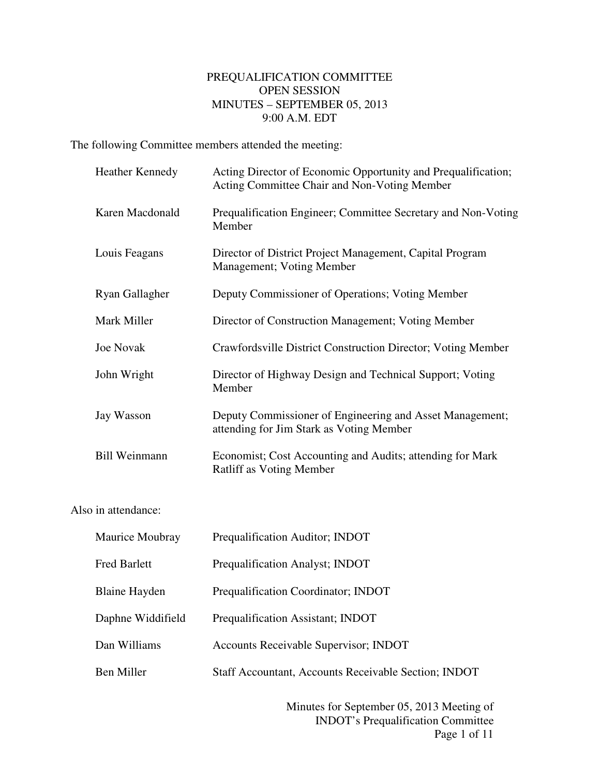## PREQUALIFICATION COMMITTEE OPEN SESSION MINUTES – SEPTEMBER 05, 2013 9:00 A.M. EDT

The following Committee members attended the meeting:

|                     | <b>Heather Kennedy</b> | Acting Director of Economic Opportunity and Prequalification;<br>Acting Committee Chair and Non-Voting Member |  |
|---------------------|------------------------|---------------------------------------------------------------------------------------------------------------|--|
|                     | Karen Macdonald        | Prequalification Engineer; Committee Secretary and Non-Voting<br>Member                                       |  |
|                     | Louis Feagans          | Director of District Project Management, Capital Program<br>Management; Voting Member                         |  |
|                     | Ryan Gallagher         | Deputy Commissioner of Operations; Voting Member                                                              |  |
|                     | Mark Miller            | Director of Construction Management; Voting Member                                                            |  |
|                     | <b>Joe Novak</b>       | Crawfordsville District Construction Director; Voting Member                                                  |  |
|                     | John Wright            | Director of Highway Design and Technical Support; Voting<br>Member                                            |  |
|                     | Jay Wasson             | Deputy Commissioner of Engineering and Asset Management;<br>attending for Jim Stark as Voting Member          |  |
|                     | <b>Bill Weinmann</b>   | Economist; Cost Accounting and Audits; attending for Mark<br>Ratliff as Voting Member                         |  |
| Also in attendance: |                        |                                                                                                               |  |

| Maurice Moubray      | Prequalification Auditor; INDOT                             |
|----------------------|-------------------------------------------------------------|
| <b>Fred Barlett</b>  | Prequalification Analyst; INDOT                             |
| <b>Blaine Hayden</b> | Prequalification Coordinator; INDOT                         |
| Daphne Widdifield    | Prequalification Assistant; INDOT                           |
| Dan Williams         | <b>Accounts Receivable Supervisor; INDOT</b>                |
| Ben Miller           | <b>Staff Accountant, Accounts Receivable Section; INDOT</b> |
|                      |                                                             |

 Minutes for September 05, 2013 Meeting of INDOT's Prequalification Committee Page 1 of 11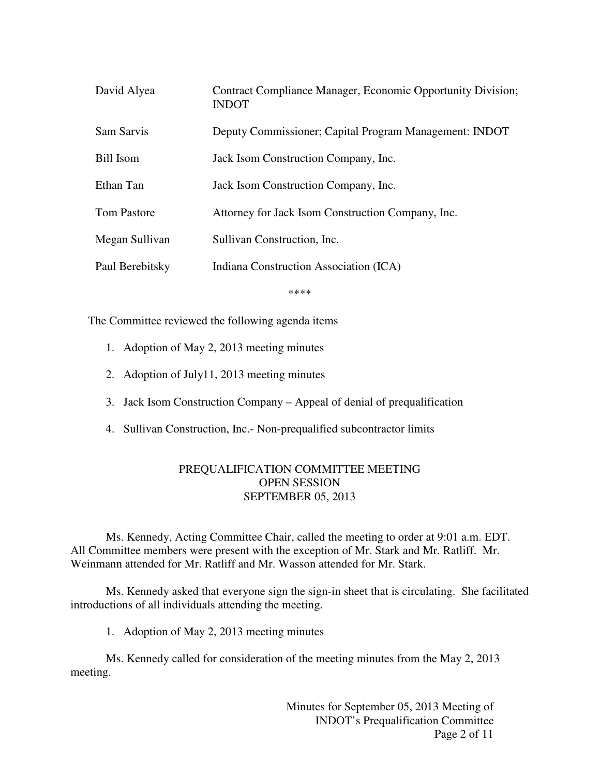| David Alyea        | Contract Compliance Manager, Economic Opportunity Division;<br><b>INDOT</b> |
|--------------------|-----------------------------------------------------------------------------|
| Sam Sarvis         | Deputy Commissioner; Capital Program Management: INDOT                      |
| Bill Isom          | Jack Isom Construction Company, Inc.                                        |
| Ethan Tan          | Jack Isom Construction Company, Inc.                                        |
| <b>Tom Pastore</b> | Attorney for Jack Isom Construction Company, Inc.                           |
| Megan Sullivan     | Sullivan Construction, Inc.                                                 |
| Paul Berebitsky    | Indiana Construction Association (ICA)                                      |

\*\*\*\*

The Committee reviewed the following agenda items

- 1. Adoption of May 2, 2013 meeting minutes
- 2. Adoption of July11, 2013 meeting minutes
- 3. Jack Isom Construction Company Appeal of denial of prequalification
- 4. Sullivan Construction, Inc.- Non-prequalified subcontractor limits

## PREQUALIFICATION COMMITTEE MEETING OPEN SESSION SEPTEMBER 05, 2013

Ms. Kennedy, Acting Committee Chair, called the meeting to order at 9:01 a.m. EDT. All Committee members were present with the exception of Mr. Stark and Mr. Ratliff. Mr. Weinmann attended for Mr. Ratliff and Mr. Wasson attended for Mr. Stark.

Ms. Kennedy asked that everyone sign the sign-in sheet that is circulating. She facilitated introductions of all individuals attending the meeting.

1. Adoption of May 2, 2013 meeting minutes

Ms. Kennedy called for consideration of the meeting minutes from the May 2, 2013 meeting.

> Minutes for September 05, 2013 Meeting of INDOT's Prequalification Committee Page 2 of 11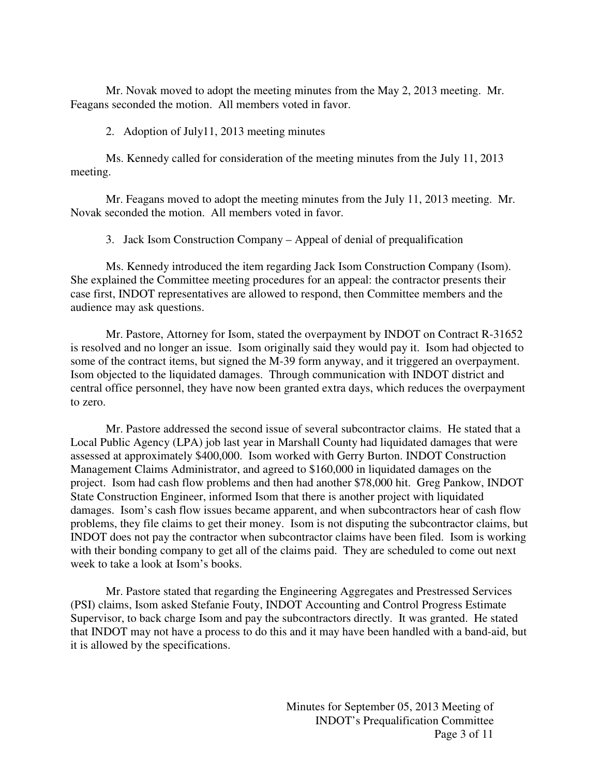Mr. Novak moved to adopt the meeting minutes from the May 2, 2013 meeting. Mr. Feagans seconded the motion. All members voted in favor.

## 2. Adoption of July11, 2013 meeting minutes

Ms. Kennedy called for consideration of the meeting minutes from the July 11, 2013 meeting.

Mr. Feagans moved to adopt the meeting minutes from the July 11, 2013 meeting. Mr. Novak seconded the motion. All members voted in favor.

3. Jack Isom Construction Company – Appeal of denial of prequalification

Ms. Kennedy introduced the item regarding Jack Isom Construction Company (Isom). She explained the Committee meeting procedures for an appeal: the contractor presents their case first, INDOT representatives are allowed to respond, then Committee members and the audience may ask questions.

Mr. Pastore, Attorney for Isom, stated the overpayment by INDOT on Contract R-31652 is resolved and no longer an issue. Isom originally said they would pay it. Isom had objected to some of the contract items, but signed the M-39 form anyway, and it triggered an overpayment. Isom objected to the liquidated damages. Through communication with INDOT district and central office personnel, they have now been granted extra days, which reduces the overpayment to zero.

Mr. Pastore addressed the second issue of several subcontractor claims. He stated that a Local Public Agency (LPA) job last year in Marshall County had liquidated damages that were assessed at approximately \$400,000. Isom worked with Gerry Burton. INDOT Construction Management Claims Administrator, and agreed to \$160,000 in liquidated damages on the project. Isom had cash flow problems and then had another \$78,000 hit. Greg Pankow, INDOT State Construction Engineer, informed Isom that there is another project with liquidated damages. Isom's cash flow issues became apparent, and when subcontractors hear of cash flow problems, they file claims to get their money. Isom is not disputing the subcontractor claims, but INDOT does not pay the contractor when subcontractor claims have been filed. Isom is working with their bonding company to get all of the claims paid. They are scheduled to come out next week to take a look at Isom's books.

Mr. Pastore stated that regarding the Engineering Aggregates and Prestressed Services (PSI) claims, Isom asked Stefanie Fouty, INDOT Accounting and Control Progress Estimate Supervisor, to back charge Isom and pay the subcontractors directly. It was granted. He stated that INDOT may not have a process to do this and it may have been handled with a band-aid, but it is allowed by the specifications.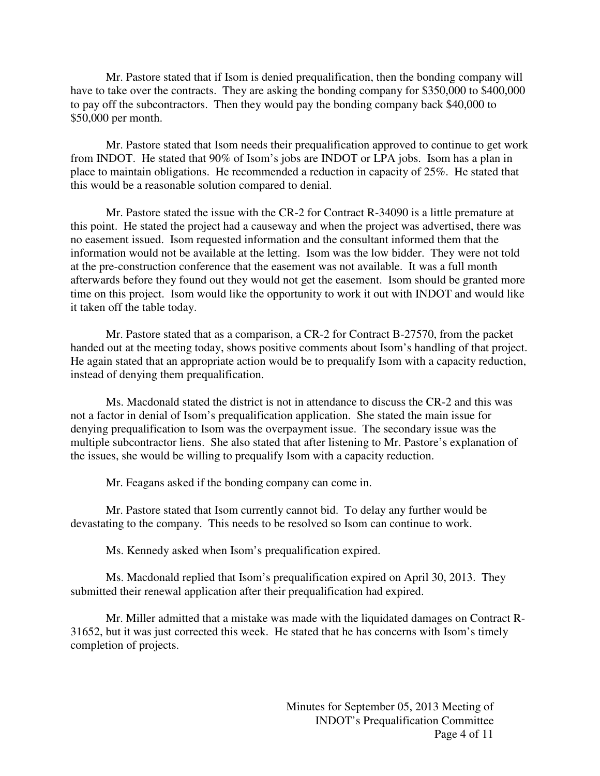Mr. Pastore stated that if Isom is denied prequalification, then the bonding company will have to take over the contracts. They are asking the bonding company for \$350,000 to \$400,000 to pay off the subcontractors. Then they would pay the bonding company back \$40,000 to \$50,000 per month.

Mr. Pastore stated that Isom needs their prequalification approved to continue to get work from INDOT. He stated that 90% of Isom's jobs are INDOT or LPA jobs. Isom has a plan in place to maintain obligations. He recommended a reduction in capacity of 25%. He stated that this would be a reasonable solution compared to denial.

Mr. Pastore stated the issue with the CR-2 for Contract R-34090 is a little premature at this point. He stated the project had a causeway and when the project was advertised, there was no easement issued. Isom requested information and the consultant informed them that the information would not be available at the letting. Isom was the low bidder. They were not told at the pre-construction conference that the easement was not available. It was a full month afterwards before they found out they would not get the easement. Isom should be granted more time on this project. Isom would like the opportunity to work it out with INDOT and would like it taken off the table today.

Mr. Pastore stated that as a comparison, a CR-2 for Contract B-27570, from the packet handed out at the meeting today, shows positive comments about Isom's handling of that project. He again stated that an appropriate action would be to prequalify Isom with a capacity reduction, instead of denying them prequalification.

Ms. Macdonald stated the district is not in attendance to discuss the CR-2 and this was not a factor in denial of Isom's prequalification application. She stated the main issue for denying prequalification to Isom was the overpayment issue. The secondary issue was the multiple subcontractor liens. She also stated that after listening to Mr. Pastore's explanation of the issues, she would be willing to prequalify Isom with a capacity reduction.

Mr. Feagans asked if the bonding company can come in.

Mr. Pastore stated that Isom currently cannot bid. To delay any further would be devastating to the company. This needs to be resolved so Isom can continue to work.

Ms. Kennedy asked when Isom's prequalification expired.

Ms. Macdonald replied that Isom's prequalification expired on April 30, 2013. They submitted their renewal application after their prequalification had expired.

Mr. Miller admitted that a mistake was made with the liquidated damages on Contract R-31652, but it was just corrected this week. He stated that he has concerns with Isom's timely completion of projects.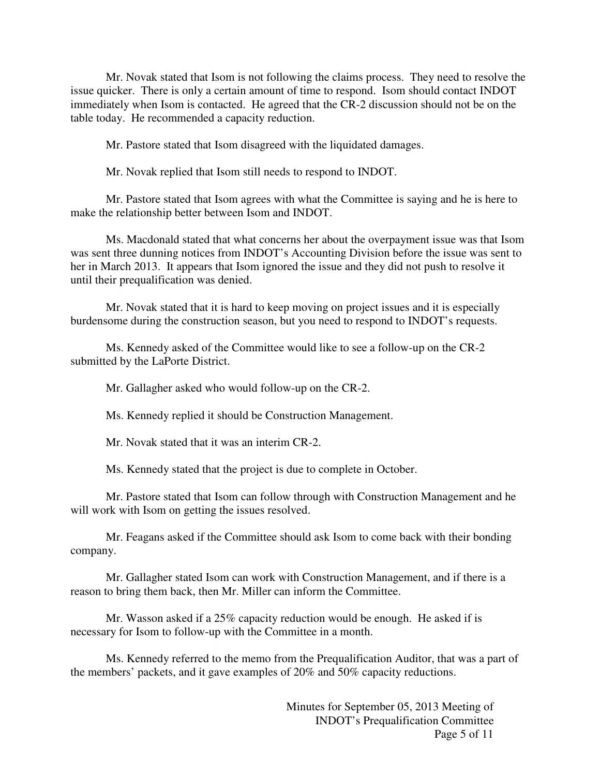Mr. Novak stated that Isom is not following the claims process. They need to resolve the issue quicker. There is only a certain amount of time to respond. Isom should contact INDOT immediately when Isom is contacted. He agreed that the CR-2 discussion should not be on the table today. He recommended a capacity reduction.

Mr. Pastore stated that Isom disagreed with the liquidated damages.

Mr. Novak replied that Isom still needs to respond to INDOT.

Mr. Pastore stated that Isom agrees with what the Committee is saying and he is here to make the relationship better between Isom and INDOT.

Ms. Macdonald stated that what concerns her about the overpayment issue was that Isom was sent three dunning notices from INDOT's Accounting Division before the issue was sent to her in March 2013. It appears that Isom ignored the issue and they did not push to resolve it until their prequalification was denied.

Mr. Novak stated that it is hard to keep moving on project issues and it is especially burdensome during the construction season, but you need to respond to INDOT's requests.

Ms. Kennedy asked of the Committee would like to see a follow-up on the CR-2 submitted by the LaPorte District.

Mr. Gallagher asked who would follow-up on the CR-2.

Ms. Kennedy replied it should be Construction Management.

Mr. Novak stated that it was an interim CR-2.

Ms. Kennedy stated that the project is due to complete in October.

Mr. Pastore stated that Isom can follow through with Construction Management and he will work with Isom on getting the issues resolved.

Mr. Feagans asked if the Committee should ask Isom to come back with their bonding company.

Mr. Gallagher stated Isom can work with Construction Management, and if there is a reason to bring them back, then Mr. Miller can inform the Committee.

Mr. Wasson asked if a 25% capacity reduction would be enough. He asked if is necessary for Isom to follow-up with the Committee in a month.

Ms. Kennedy referred to the memo from the Prequalification Auditor, that was a part of the members' packets, and it gave examples of 20% and 50% capacity reductions.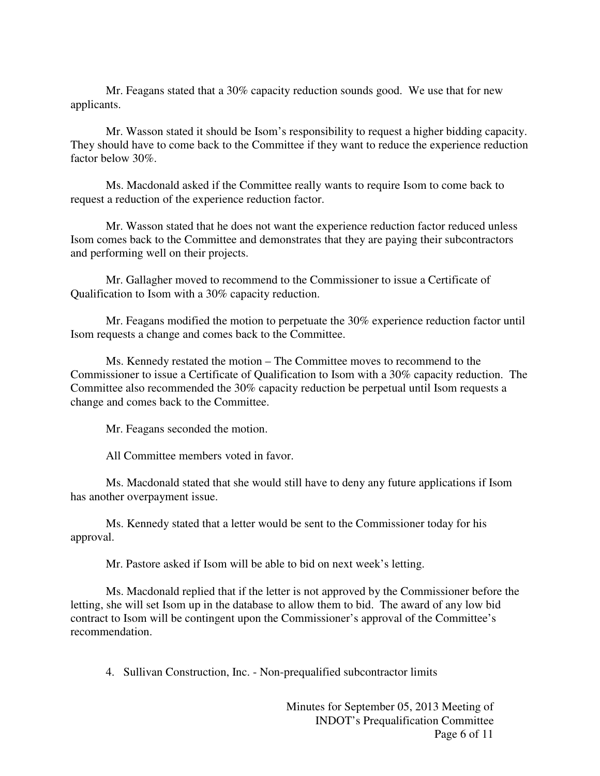Mr. Feagans stated that a 30% capacity reduction sounds good. We use that for new applicants.

Mr. Wasson stated it should be Isom's responsibility to request a higher bidding capacity. They should have to come back to the Committee if they want to reduce the experience reduction factor below 30%.

Ms. Macdonald asked if the Committee really wants to require Isom to come back to request a reduction of the experience reduction factor.

Mr. Wasson stated that he does not want the experience reduction factor reduced unless Isom comes back to the Committee and demonstrates that they are paying their subcontractors and performing well on their projects.

Mr. Gallagher moved to recommend to the Commissioner to issue a Certificate of Qualification to Isom with a 30% capacity reduction.

Mr. Feagans modified the motion to perpetuate the 30% experience reduction factor until Isom requests a change and comes back to the Committee.

Ms. Kennedy restated the motion – The Committee moves to recommend to the Commissioner to issue a Certificate of Qualification to Isom with a 30% capacity reduction. The Committee also recommended the 30% capacity reduction be perpetual until Isom requests a change and comes back to the Committee.

Mr. Feagans seconded the motion.

All Committee members voted in favor.

Ms. Macdonald stated that she would still have to deny any future applications if Isom has another overpayment issue.

Ms. Kennedy stated that a letter would be sent to the Commissioner today for his approval.

Mr. Pastore asked if Isom will be able to bid on next week's letting.

Ms. Macdonald replied that if the letter is not approved by the Commissioner before the letting, she will set Isom up in the database to allow them to bid. The award of any low bid contract to Isom will be contingent upon the Commissioner's approval of the Committee's recommendation.

4. Sullivan Construction, Inc. - Non-prequalified subcontractor limits

 Minutes for September 05, 2013 Meeting of INDOT's Prequalification Committee Page 6 of 11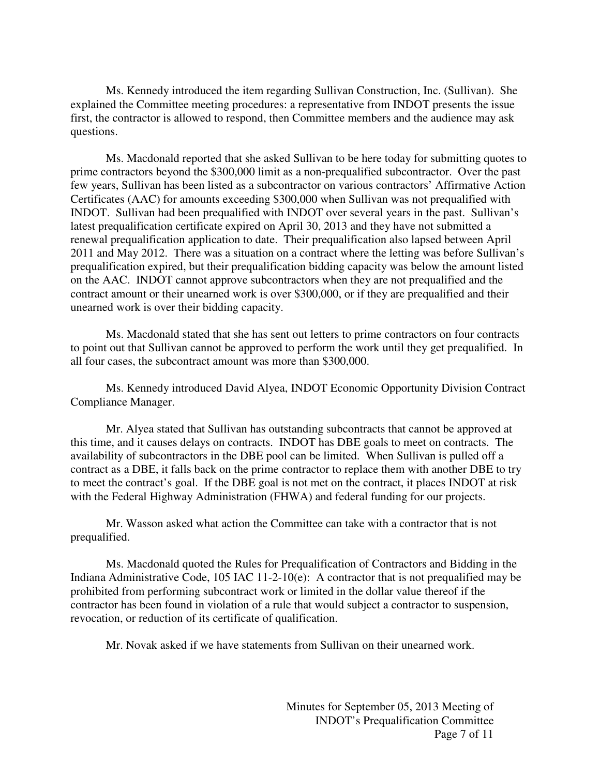Ms. Kennedy introduced the item regarding Sullivan Construction, Inc. (Sullivan). She explained the Committee meeting procedures: a representative from INDOT presents the issue first, the contractor is allowed to respond, then Committee members and the audience may ask questions.

Ms. Macdonald reported that she asked Sullivan to be here today for submitting quotes to prime contractors beyond the \$300,000 limit as a non-prequalified subcontractor. Over the past few years, Sullivan has been listed as a subcontractor on various contractors' Affirmative Action Certificates (AAC) for amounts exceeding \$300,000 when Sullivan was not prequalified with INDOT. Sullivan had been prequalified with INDOT over several years in the past. Sullivan's latest prequalification certificate expired on April 30, 2013 and they have not submitted a renewal prequalification application to date. Their prequalification also lapsed between April 2011 and May 2012. There was a situation on a contract where the letting was before Sullivan's prequalification expired, but their prequalification bidding capacity was below the amount listed on the AAC. INDOT cannot approve subcontractors when they are not prequalified and the contract amount or their unearned work is over \$300,000, or if they are prequalified and their unearned work is over their bidding capacity.

Ms. Macdonald stated that she has sent out letters to prime contractors on four contracts to point out that Sullivan cannot be approved to perform the work until they get prequalified. In all four cases, the subcontract amount was more than \$300,000.

Ms. Kennedy introduced David Alyea, INDOT Economic Opportunity Division Contract Compliance Manager.

Mr. Alyea stated that Sullivan has outstanding subcontracts that cannot be approved at this time, and it causes delays on contracts. INDOT has DBE goals to meet on contracts. The availability of subcontractors in the DBE pool can be limited. When Sullivan is pulled off a contract as a DBE, it falls back on the prime contractor to replace them with another DBE to try to meet the contract's goal. If the DBE goal is not met on the contract, it places INDOT at risk with the Federal Highway Administration (FHWA) and federal funding for our projects.

Mr. Wasson asked what action the Committee can take with a contractor that is not prequalified.

Ms. Macdonald quoted the Rules for Prequalification of Contractors and Bidding in the Indiana Administrative Code, 105 IAC 11-2-10(e): A contractor that is not prequalified may be prohibited from performing subcontract work or limited in the dollar value thereof if the contractor has been found in violation of a rule that would subject a contractor to suspension, revocation, or reduction of its certificate of qualification.

Mr. Novak asked if we have statements from Sullivan on their unearned work.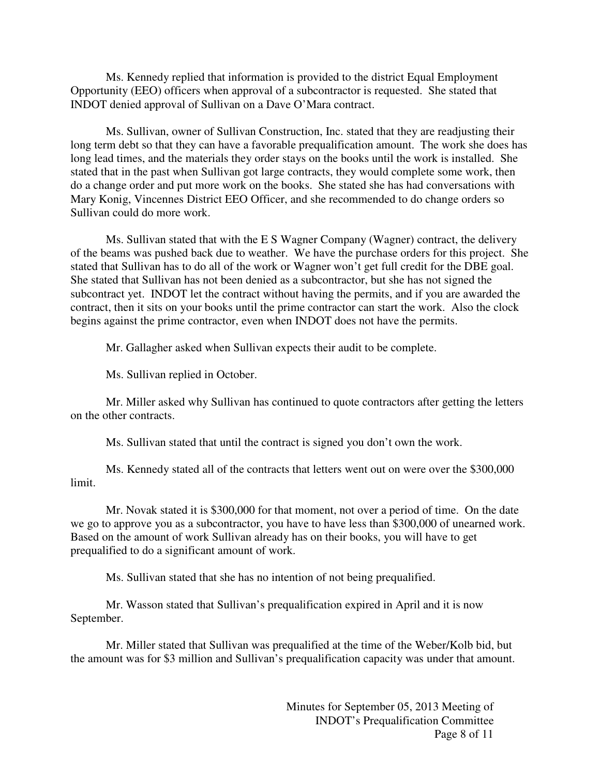Ms. Kennedy replied that information is provided to the district Equal Employment Opportunity (EEO) officers when approval of a subcontractor is requested. She stated that INDOT denied approval of Sullivan on a Dave O'Mara contract.

Ms. Sullivan, owner of Sullivan Construction, Inc. stated that they are readjusting their long term debt so that they can have a favorable prequalification amount. The work she does has long lead times, and the materials they order stays on the books until the work is installed. She stated that in the past when Sullivan got large contracts, they would complete some work, then do a change order and put more work on the books. She stated she has had conversations with Mary Konig, Vincennes District EEO Officer, and she recommended to do change orders so Sullivan could do more work.

Ms. Sullivan stated that with the E S Wagner Company (Wagner) contract, the delivery of the beams was pushed back due to weather. We have the purchase orders for this project. She stated that Sullivan has to do all of the work or Wagner won't get full credit for the DBE goal. She stated that Sullivan has not been denied as a subcontractor, but she has not signed the subcontract yet. INDOT let the contract without having the permits, and if you are awarded the contract, then it sits on your books until the prime contractor can start the work. Also the clock begins against the prime contractor, even when INDOT does not have the permits.

Mr. Gallagher asked when Sullivan expects their audit to be complete.

Ms. Sullivan replied in October.

Mr. Miller asked why Sullivan has continued to quote contractors after getting the letters on the other contracts.

Ms. Sullivan stated that until the contract is signed you don't own the work.

Ms. Kennedy stated all of the contracts that letters went out on were over the \$300,000 limit.

Mr. Novak stated it is \$300,000 for that moment, not over a period of time. On the date we go to approve you as a subcontractor, you have to have less than \$300,000 of unearned work. Based on the amount of work Sullivan already has on their books, you will have to get prequalified to do a significant amount of work.

Ms. Sullivan stated that she has no intention of not being prequalified.

Mr. Wasson stated that Sullivan's prequalification expired in April and it is now September.

Mr. Miller stated that Sullivan was prequalified at the time of the Weber/Kolb bid, but the amount was for \$3 million and Sullivan's prequalification capacity was under that amount.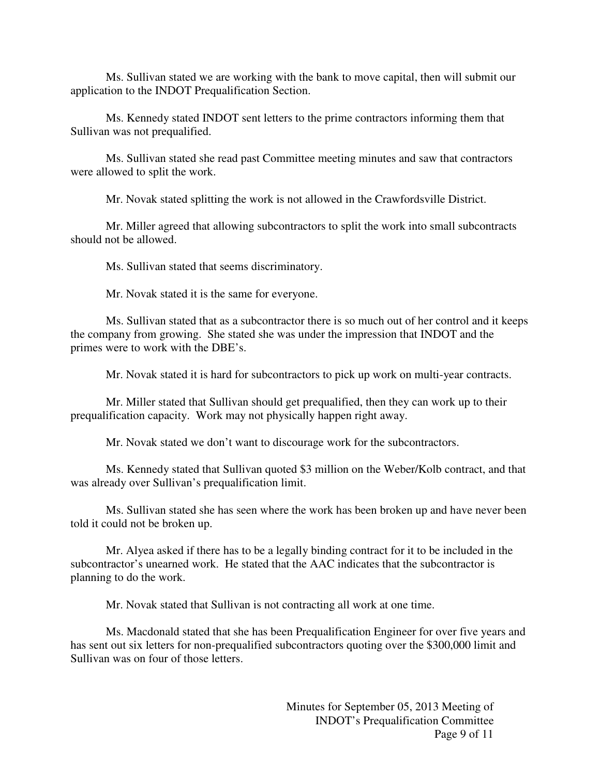Ms. Sullivan stated we are working with the bank to move capital, then will submit our application to the INDOT Prequalification Section.

Ms. Kennedy stated INDOT sent letters to the prime contractors informing them that Sullivan was not prequalified.

Ms. Sullivan stated she read past Committee meeting minutes and saw that contractors were allowed to split the work.

Mr. Novak stated splitting the work is not allowed in the Crawfordsville District.

Mr. Miller agreed that allowing subcontractors to split the work into small subcontracts should not be allowed.

Ms. Sullivan stated that seems discriminatory.

Mr. Novak stated it is the same for everyone.

Ms. Sullivan stated that as a subcontractor there is so much out of her control and it keeps the company from growing. She stated she was under the impression that INDOT and the primes were to work with the DBE's.

Mr. Novak stated it is hard for subcontractors to pick up work on multi-year contracts.

Mr. Miller stated that Sullivan should get prequalified, then they can work up to their prequalification capacity. Work may not physically happen right away.

Mr. Novak stated we don't want to discourage work for the subcontractors.

Ms. Kennedy stated that Sullivan quoted \$3 million on the Weber/Kolb contract, and that was already over Sullivan's prequalification limit.

Ms. Sullivan stated she has seen where the work has been broken up and have never been told it could not be broken up.

Mr. Alyea asked if there has to be a legally binding contract for it to be included in the subcontractor's unearned work. He stated that the AAC indicates that the subcontractor is planning to do the work.

Mr. Novak stated that Sullivan is not contracting all work at one time.

Ms. Macdonald stated that she has been Prequalification Engineer for over five years and has sent out six letters for non-prequalified subcontractors quoting over the \$300,000 limit and Sullivan was on four of those letters.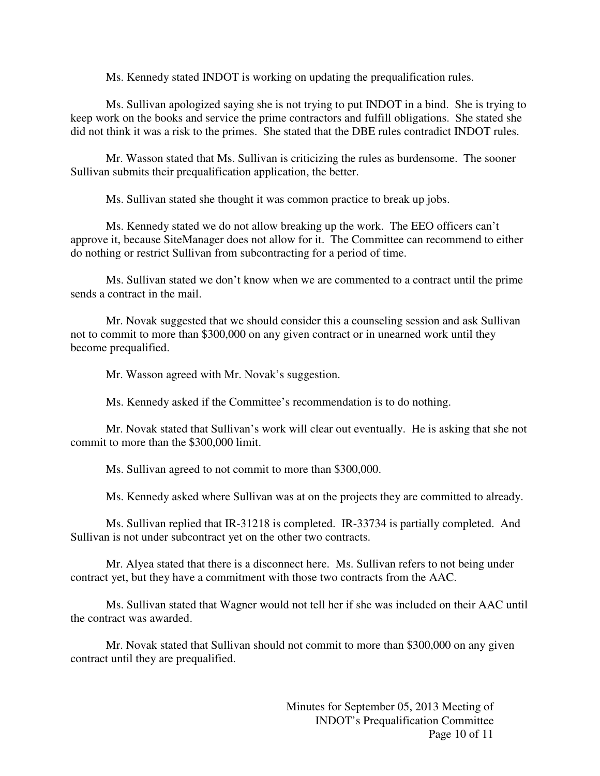Ms. Kennedy stated INDOT is working on updating the prequalification rules.

Ms. Sullivan apologized saying she is not trying to put INDOT in a bind. She is trying to keep work on the books and service the prime contractors and fulfill obligations. She stated she did not think it was a risk to the primes. She stated that the DBE rules contradict INDOT rules.

Mr. Wasson stated that Ms. Sullivan is criticizing the rules as burdensome. The sooner Sullivan submits their prequalification application, the better.

Ms. Sullivan stated she thought it was common practice to break up jobs.

Ms. Kennedy stated we do not allow breaking up the work. The EEO officers can't approve it, because SiteManager does not allow for it. The Committee can recommend to either do nothing or restrict Sullivan from subcontracting for a period of time.

Ms. Sullivan stated we don't know when we are commented to a contract until the prime sends a contract in the mail.

Mr. Novak suggested that we should consider this a counseling session and ask Sullivan not to commit to more than \$300,000 on any given contract or in unearned work until they become prequalified.

Mr. Wasson agreed with Mr. Novak's suggestion.

Ms. Kennedy asked if the Committee's recommendation is to do nothing.

Mr. Novak stated that Sullivan's work will clear out eventually. He is asking that she not commit to more than the \$300,000 limit.

Ms. Sullivan agreed to not commit to more than \$300,000.

Ms. Kennedy asked where Sullivan was at on the projects they are committed to already.

Ms. Sullivan replied that IR-31218 is completed. IR-33734 is partially completed. And Sullivan is not under subcontract yet on the other two contracts.

Mr. Alyea stated that there is a disconnect here. Ms. Sullivan refers to not being under contract yet, but they have a commitment with those two contracts from the AAC.

Ms. Sullivan stated that Wagner would not tell her if she was included on their AAC until the contract was awarded.

Mr. Novak stated that Sullivan should not commit to more than \$300,000 on any given contract until they are prequalified.

> Minutes for September 05, 2013 Meeting of INDOT's Prequalification Committee Page 10 of 11